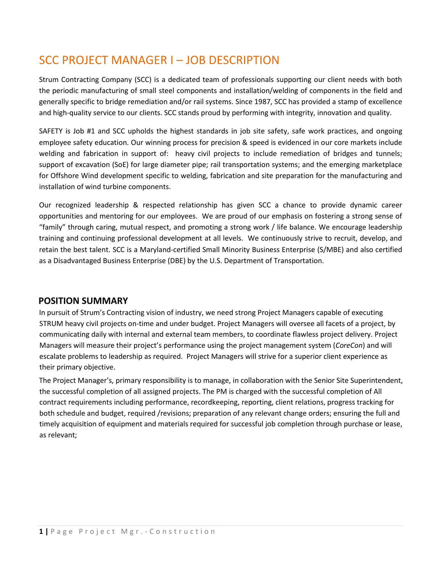# SCC PROJECT MANAGER I – JOB DESCRIPTION

Strum Contracting Company (SCC) is a dedicated team of professionals supporting our client needs with both the periodic manufacturing of small steel components and installation/welding of components in the field and generally specific to bridge remediation and/or rail systems. Since 1987, SCC has provided a stamp of excellence and high-quality service to our clients. SCC stands proud by performing with integrity, innovation and quality.

SAFETY is Job #1 and SCC upholds the highest standards in job site safety, safe work practices, and ongoing employee safety education. Our winning process for precision & speed is evidenced in our core markets include welding and fabrication in support of: heavy civil projects to include remediation of bridges and tunnels; support of excavation (SoE) for large diameter pipe; rail transportation systems; and the emerging marketplace for Offshore Wind development specific to welding, fabrication and site preparation for the manufacturing and installation of wind turbine components.

Our recognized leadership & respected relationship has given SCC a chance to provide dynamic career opportunities and mentoring for our employees. We are proud of our emphasis on fostering a strong sense of "family" through caring, mutual respect, and promoting a strong work / life balance. We encourage leadership training and continuing professional development at all levels. We continuously strive to recruit, develop, and retain the best talent. SCC is a Maryland-certified Small Minority Business Enterprise (S/MBE) and also certified as a Disadvantaged Business Enterprise (DBE) by the U.S. Department of Transportation.

# **POSITION SUMMARY**

In pursuit of Strum's Contracting vision of industry, we need strong Project Managers capable of executing STRUM heavy civil projects on-time and under budget. Project Managers will oversee all facets of a project, by communicating daily with internal and external team members, to coordinate flawless project delivery. Project Managers will measure their project's performance using the project management system (*CoreCon*) and will escalate problems to leadership as required. Project Managers will strive for a superior client experience as their primary objective.

The Project Manager's, primary responsibility is to manage, in collaboration with the Senior Site Superintendent, the successful completion of all assigned projects. The PM is charged with the successful completion of All contract requirements including performance, recordkeeping, reporting, client relations, progress tracking for both schedule and budget, required /revisions; preparation of any relevant change orders; ensuring the full and timely acquisition of equipment and materials required for successful job completion through purchase or lease, as relevant;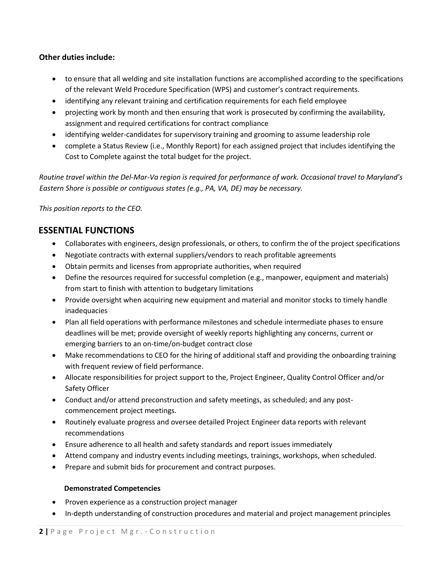## **Other duties include:**

- to ensure that all welding and site installation functions are accomplished according to the specifications of the relevant Weld Procedure Specification (WPS) and customer's contract requirements.
- identifying any relevant training and certification requirements for each field employee
- projecting work by month and then ensuring that work is prosecuted by confirming the availability, assignment and required certifications for contract compliance
- identifying welder-candidates for supervisory training and grooming to assume leadership role
- complete a Status Review (i.e., Monthly Report) for each assigned project that includes identifying the Cost to Complete against the total budget for the project.

*Routine travel within the Del-Mar-Va region is required for performance of work. Occasional travel to Maryland's Eastern Shore is possible or contiguous states (e.g., PA, VA, DE) may be necessary.*

*This position reports to the CEO.*

# **ESSENTIAL FUNCTIONS**

- Collaborates with engineers, design professionals, or others, to confirm the of the project specifications
- Negotiate contracts with external suppliers/vendors to reach profitable agreements
- Obtain permits and licenses from appropriate authorities, when required
- Define the resources required for successful completion (e.g., manpower, equipment and materials) from start to finish with attention to budgetary limitations
- Provide oversight when acquiring new equipment and material and monitor stocks to timely handle inadequacies
- Plan all field operations with performance milestones and schedule intermediate phases to ensure deadlines will be met; provide oversight of weekly reports highlighting any concerns, current or emerging barriers to an on-time/on-budget contract close
- Make recommendations to CEO for the hiring of additional staff and providing the onboarding training with frequent review of field performance.
- Allocate responsibilities for project support to the, Project Engineer, Quality Control Officer and/or Safety Officer
- Conduct and/or attend preconstruction and safety meetings, as scheduled; and any postcommencement project meetings.
- Routinely evaluate progress and oversee detailed Project Engineer data reports with relevant recommendations
- Ensure adherence to all health and safety standards and report issues immediately
- Attend company and industry events including meetings, trainings, workshops, when scheduled.
- Prepare and submit bids for procurement and contract purposes.

#### **Demonstrated Competencies**

- Proven experience as a construction project manager
- In-depth understanding of construction procedures and material and project management principles